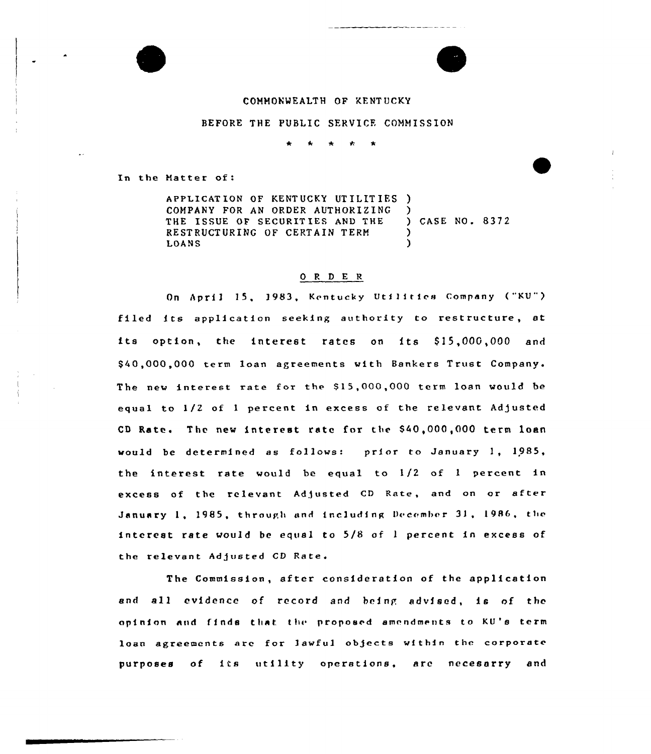## COMMONWEALTH OF KENTUCKY

BEFORE THE PUBLIC SERVICE COMMISSION

In the Hatter of:

APPLICAT ION OF KENTUCKY UT ILIT IES ) COMPANY FOR AN ORDER AUTHORIZING THE ISSUE OF SECURITIES AND THE RESTRUCTURING OF CERTAIN TERM LOANS ) ) CASE NO. 8372 ) )

## Q R D E R

On April 15, 1983, Kentucky Utilities Company ("KU") filed its application seeking authority to restructure, at its option, the interest rates on its \$15,000,000 and \$ 40,000,000 term loan agreements with Bankers Trust The new interest rate for the \$15,000,000 term loan would be equal to 1/2 of 1 percent in excess of the relevant Adjusted CD Rate. The new interest rate for the S40,000,000 term loan would be determined as follows: prior to January 1, 1985, the interest rate would be equal to 1/2 of <sup>1</sup> percent in excess of the relevant Adjusted CD Rate, and on or after January 1, 1985, through and including December 31, 1986, the interest rate would be equal to 5/8 of <sup>1</sup> percent in excess of the relevant Adjusted CD Rate.

The Commission, after consideration of the application and all evidence of record and being advised, is of the opinion and finds that the proposed amendments to KU's term loan agreements are for lawful objects within the corporate purposes of its utility operations, are necesarry and